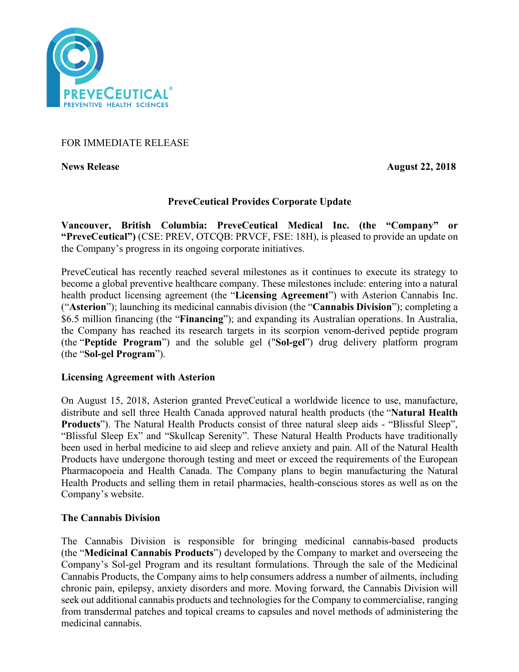

# FOR IMMEDIATE RELEASE

**News Release August 22, 2018** 

# **PreveCeutical Provides Corporate Update**

**Vancouver, British Columbia: PreveCeutical Medical Inc. (the "Company" or "PreveCeutical")** (CSE: PREV, OTCQB: PRVCF, FSE: 18H), is pleased to provide an update on the Company's progress in its ongoing corporate initiatives.

PreveCeutical has recently reached several milestones as it continues to execute its strategy to become a global preventive healthcare company. These milestones include: entering into a natural health product licensing agreement (the "**Licensing Agreement**") with Asterion Cannabis Inc. ("**Asterion**"); launching its medicinal cannabis division (the "**Cannabis Division**"); completing a \$6.5 million financing (the "**Financing**"); and expanding its Australian operations. In Australia, the Company has reached its research targets in its scorpion venom-derived peptide program (the "**Peptide Program**") and the soluble gel ("**Sol-gel**") drug delivery platform program (the "**Sol-gel Program**").

# **Licensing Agreement with Asterion**

On August 15, 2018, Asterion granted PreveCeutical a worldwide licence to use, manufacture, distribute and sell three Health Canada approved natural health products (the "**Natural Health Products**"). The Natural Health Products consist of three natural sleep aids - "Blissful Sleep", "Blissful Sleep Ex" and "Skullcap Serenity". These Natural Health Products have traditionally been used in herbal medicine to aid sleep and relieve anxiety and pain. All of the Natural Health Products have undergone thorough testing and meet or exceed the requirements of the European Pharmacopoeia and Health Canada. The Company plans to begin manufacturing the Natural Health Products and selling them in retail pharmacies, health-conscious stores as well as on the Company's website.

# **The Cannabis Division**

The Cannabis Division is responsible for bringing medicinal cannabis-based products (the "**Medicinal Cannabis Products**") developed by the Company to market and overseeing the Company's Sol-gel Program and its resultant formulations. Through the sale of the Medicinal Cannabis Products, the Company aims to help consumers address a number of ailments, including chronic pain, epilepsy, anxiety disorders and more. Moving forward, the Cannabis Division will seek out additional cannabis products and technologies for the Company to commercialise, ranging from transdermal patches and topical creams to capsules and novel methods of administering the medicinal cannabis.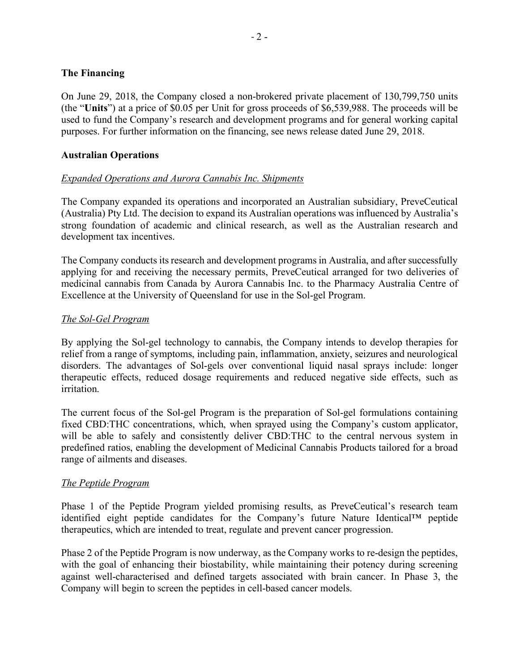# **The Financing**

On June 29, 2018, the Company closed a non-brokered private placement of 130,799,750 units (the "**Units**") at a price of \$0.05 per Unit for gross proceeds of \$6,539,988. The proceeds will be used to fund the Company's research and development programs and for general working capital purposes. For further information on the financing, see news release dated June 29, 2018.

# **Australian Operations**

# *Expanded Operations and Aurora Cannabis Inc. Shipments*

The Company expanded its operations and incorporated an Australian subsidiary, PreveCeutical (Australia) Pty Ltd. The decision to expand its Australian operations was influenced by Australia's strong foundation of academic and clinical research, as well as the Australian research and development tax incentives.

The Company conducts its research and development programs in Australia, and after successfully applying for and receiving the necessary permits, PreveCeutical arranged for two deliveries of medicinal cannabis from Canada by Aurora Cannabis Inc. to the Pharmacy Australia Centre of Excellence at the University of Queensland for use in the Sol-gel Program.

# *The Sol-Gel Program*

By applying the Sol-gel technology to cannabis, the Company intends to develop therapies for relief from a range of symptoms, including pain, inflammation, anxiety, seizures and neurological disorders. The advantages of Sol-gels over conventional liquid nasal sprays include: longer therapeutic effects, reduced dosage requirements and reduced negative side effects, such as irritation.

The current focus of the Sol-gel Program is the preparation of Sol-gel formulations containing fixed CBD:THC concentrations, which, when sprayed using the Company's custom applicator, will be able to safely and consistently deliver CBD:THC to the central nervous system in predefined ratios, enabling the development of Medicinal Cannabis Products tailored for a broad range of ailments and diseases.

# *The Peptide Program*

Phase 1 of the Peptide Program yielded promising results, as PreveCeutical's research team identified eight peptide candidates for the Company's future Nature Identical™ peptide therapeutics, which are intended to treat, regulate and prevent cancer progression.

Phase 2 of the Peptide Program is now underway, as the Company works to re-design the peptides, with the goal of enhancing their biostability, while maintaining their potency during screening against well-characterised and defined targets associated with brain cancer. In Phase 3, the Company will begin to screen the peptides in cell-based cancer models.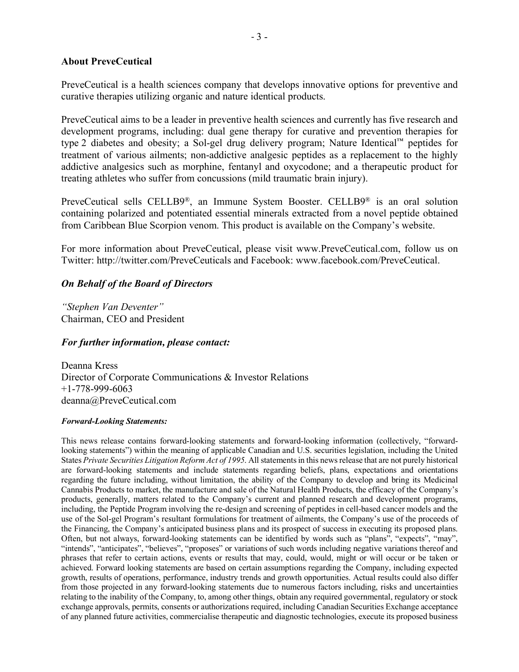#### **About PreveCeutical**

PreveCeutical is a health sciences company that develops innovative options for preventive and curative therapies utilizing organic and nature identical products.

PreveCeutical aims to be a leader in preventive health sciences and currently has five research and development programs, including: dual gene therapy for curative and prevention therapies for type 2 diabetes and obesity; a Sol-gel drug delivery program; Nature Identical™ peptides for treatment of various ailments; non-addictive analgesic peptides as a replacement to the highly addictive analgesics such as morphine, fentanyl and oxycodone; and a therapeutic product for treating athletes who suffer from concussions (mild traumatic brain injury).

PreveCeutical sells CELLB9®, an Immune System Booster. CELLB9® is an oral solution containing polarized and potentiated essential minerals extracted from a novel peptide obtained from Caribbean Blue Scorpion venom. This product is available on the Company's website.

For more information about PreveCeutical, please visit www.PreveCeutical.com, follow us on Twitter: http://twitter.com/PreveCeuticals and Facebook: www.facebook.com/PreveCeutical.

# *On Behalf of the Board of Directors*

*"Stephen Van Deventer"* Chairman, CEO and President

# *For further information, please contact:*

Deanna Kress Director of Corporate Communications & Investor Relations +1-778-999-6063 deanna@PreveCeutical.com

#### *Forward-Looking Statements:*

This news release contains forward-looking statements and forward-looking information (collectively, "forwardlooking statements") within the meaning of applicable Canadian and U.S. securities legislation, including the United States *Private Securities Litigation Reform Act of 1995*. All statements in this news release that are not purely historical are forward-looking statements and include statements regarding beliefs, plans, expectations and orientations regarding the future including, without limitation, the ability of the Company to develop and bring its Medicinal Cannabis Products to market, the manufacture and sale of the Natural Health Products, the efficacy of the Company's products, generally, matters related to the Company's current and planned research and development programs, including, the Peptide Program involving the re-design and screening of peptides in cell-based cancer models and the use of the Sol-gel Program's resultant formulations for treatment of ailments, the Company's use of the proceeds of the Financing, the Company's anticipated business plans and its prospect of success in executing its proposed plans. Often, but not always, forward-looking statements can be identified by words such as "plans", "expects", "may", "intends", "anticipates", "believes", "proposes" or variations of such words including negative variations thereof and phrases that refer to certain actions, events or results that may, could, would, might or will occur or be taken or achieved. Forward looking statements are based on certain assumptions regarding the Company, including expected growth, results of operations, performance, industry trends and growth opportunities. Actual results could also differ from those projected in any forward-looking statements due to numerous factors including, risks and uncertainties relating to the inability of the Company, to, among other things, obtain any required governmental, regulatory or stock exchange approvals, permits, consents or authorizations required, including Canadian Securities Exchange acceptance of any planned future activities, commercialise therapeutic and diagnostic technologies, execute its proposed business